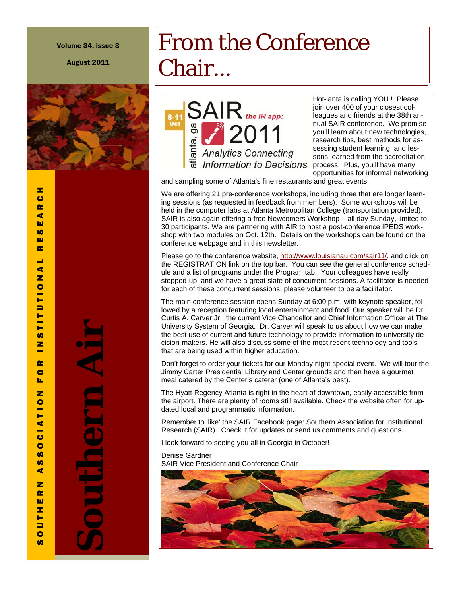Volume 34, issue 3

August 2011



Hot-lanta is calling YOU ! Please join over 400 of your closest colleagues and friends at the 38th annual SAIR conference. We promise you'll learn about new technologies, research tips, best methods for assessing student learning, and lessons-learned from the accreditation process. Plus, you'll have many opportunities for informal networking

and sampling some of Atlanta's fine restaurants and great events.

 $\mathsf{SAIR}_{\scriptscriptstyle \textit{the IR app:}}$ 

2011

**Analytics Connecting Information to Decisions** 

From the Conference

Chair...

atlanta, ga

We are offering 21 pre-conference workshops, including three that are longer learning sessions (as requested in feedback from members). Some workshops will be held in the computer labs at Atlanta Metropolitan College (transportation provided). SAIR is also again offering a free Newcomers Workshop – all day Sunday, limited to 30 participants. We are partnering with AIR to host a post-conference IPEDS workshop with two modules on Oct. 12th. Details on the workshops can be found on the conference webpage and in this newsletter.

Please go to the conference website, http://www.louisianau.com/sair11/, and click on the REGISTRATION link on the top bar. You can see the general conference schedule and a list of programs under the Program tab. Your colleagues have really stepped-up, and we have a great slate of concurrent sessions. A facilitator is needed for each of these concurrent sessions; please volunteer to be a facilitator.

The main conference session opens Sunday at 6:00 p.m. with keynote speaker, followed by a reception featuring local entertainment and food. Our speaker will be Dr. Curtis A. Carver Jr., the current Vice Chancellor and Chief Information Officer at The University System of Georgia. Dr. Carver will speak to us about how we can make the best use of current and future technology to provide information to university decision-makers. He will also discuss some of the most recent technology and tools that are being used within higher education.

Don't forget to order your tickets for our Monday night special event. We will tour the Jimmy Carter Presidential Library and Center grounds and then have a gourmet meal catered by the Center's caterer (one of Atlanta's best).

The Hyatt Regency Atlanta is right in the heart of downtown, easily accessible from the airport. There are plenty of rooms still available. Check the website often for updated local and programmatic information.

Remember to 'like' the SAIR Facebook page: Southern Association for Institutional Research (SAIR). Check it for updates or send us comments and questions.

I look forward to seeing you all in Georgia in October!

Denise Gardner SAIR Vice President and Conference Chair



 $\boldsymbol{a}$ 

**Southern Air**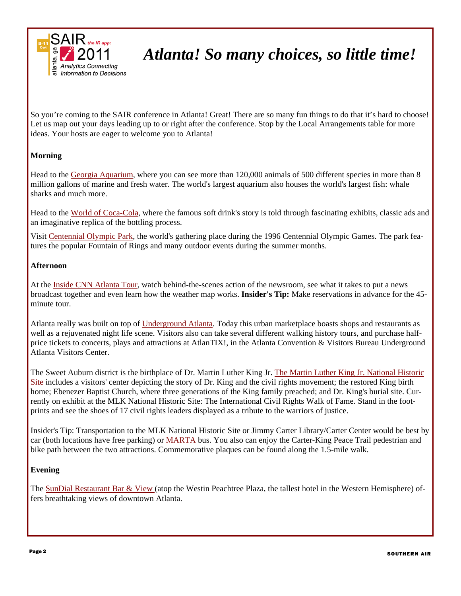

# *Atlanta! So many choices, so little time!*

So you're coming to the SAIR conference in Atlanta! Great! There are so many fun things to do that it's hard to choose! Let us map out your days leading up to or right after the conference. Stop by the Local Arrangements table for more ideas. Your hosts are eager to welcome you to Atlanta!

### **Morning**

Head to the Georgia Aquarium, where you can see more than 120,000 animals of 500 different species in more than 8 million gallons of marine and fresh water. The world's largest aquarium also houses the world's largest fish: whale sharks and much more.

Head to the World of Coca-Cola, where the famous soft drink's story is told through fascinating exhibits, classic ads and an imaginative replica of the bottling process.

Visit Centennial Olympic Park, the world's gathering place during the 1996 Centennial Olympic Games. The park features the popular Fountain of Rings and many outdoor events during the summer months.

#### **Afternoon**

At the Inside CNN Atlanta Tour, watch behind-the-scenes action of the newsroom, see what it takes to put a news broadcast together and even learn how the weather map works. **Insider's Tip:** Make reservations in advance for the 45 minute tour.

Atlanta really was built on top of Underground Atlanta. Today this urban marketplace boasts shops and restaurants as well as a rejuvenated night life scene. Visitors also can take several different walking history tours, and purchase halfprice tickets to concerts, plays and attractions at AtlanTIX!, in the Atlanta Convention & Visitors Bureau Underground Atlanta Visitors Center.

The Sweet Auburn district is the birthplace of Dr. Martin Luther King Jr. The Martin Luther King Jr. National Historic Site includes a visitors' center depicting the story of Dr. King and the civil rights movement; the restored King birth home; Ebenezer Baptist Church, where three generations of the King family preached; and Dr. King's burial site. Currently on exhibit at the MLK National Historic Site: The International Civil Rights Walk of Fame. Stand in the footprints and see the shoes of 17 civil rights leaders displayed as a tribute to the warriors of justice.

Insider's Tip: Transportation to the MLK National Historic Site or Jimmy Carter Library/Carter Center would be best by car (both locations have free parking) or MARTA bus. You also can enjoy the Carter-King Peace Trail pedestrian and bike path between the two attractions. Commemorative plaques can be found along the 1.5-mile walk.

### **Evening**

The SunDial Restaurant Bar & View (atop the Westin Peachtree Plaza, the tallest hotel in the Western Hemisphere) offers breathtaking views of downtown Atlanta.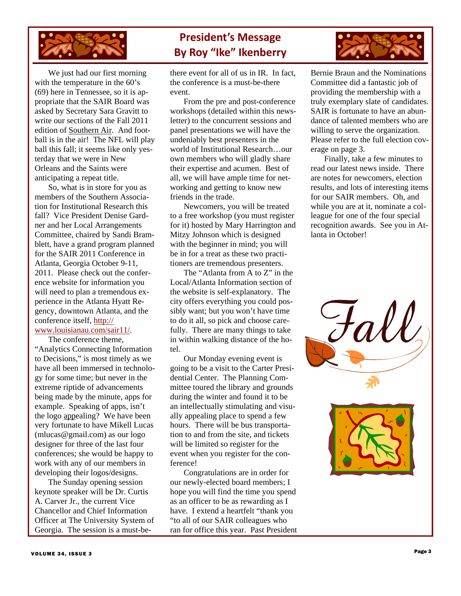

 We just had our first morning with the temperature in the 60's (69) here in Tennessee, so it is appropriate that the SAIR Board was asked by Secretary Sara Gravitt to write our sections of the Fall 2011 edition of Southern Air. And football is in the air! The NFL will play ball this fall; it seems like only yesterday that we were in New Orleans and the Saints were anticipating a repeat title.

 So, what is in store for you as members of the Southern Association for Institutional Research this fall? Vice President Denise Gardner and her Local Arrangements Committee, chaired by Sandi Bramblett, have a grand program planned for the SAIR 2011 Conference in Atlanta, Georgia October 9-11, 2011. Please check out the conference website for information you will need to plan a tremendous experience in the Atlanta Hyatt Regency, downtown Atlanta, and the conference itself, http:// www.louisianau.com/sair11/.

 The conference theme, "Analytics Connecting Information to Decisions," is most timely as we have all been immersed in technology for some time; but never in the extreme riptide of advancements being made by the minute, apps for example. Speaking of apps, isn't the logo appealing? We have been very fortunate to have Mikell Lucas (mlucas@gmail.com) as our logo designer for three of the last four conferences; she would be happy to work with any of our members in developing their logos/designs.

 The Sunday opening session keynote speaker will be Dr. Curtis A. Carver Jr., the current Vice Chancellor and Chief Information Officer at The University System of Georgia. The session is a must-be-

# **President's Message By Roy "Ike" Ikenberry**

there event for all of us in IR. In fact, the conference is a must-be-there event.

 From the pre and post-conference workshops (detailed within this newsletter) to the concurrent sessions and panel presentations we will have the undeniably best presenters in the world of Institutional Research…our own members who will gladly share their expertise and acumen. Best of all, we will have ample time for networking and getting to know new friends in the trade.

 Newcomers, you will be treated to a free workshop (you must register for it) hosted by Mary Harrington and Mitzy Johnson which is designed with the beginner in mind; you will be in for a treat as these two practitioners are tremendous presenters.

 The "Atlanta from A to Z" in the Local/Atlanta Information section of the website is self-explanatory. The city offers everything you could possibly want; but you won't have time to do it all, so pick and choose carefully. There are many things to take in within walking distance of the hotel.

 Our Monday evening event is going to be a visit to the Carter Presidential Center. The Planning Committee toured the library and grounds during the winter and found it to be an intellectually stimulating and visually appealing place to spend a few hours. There will be bus transportation to and from the site, and tickets will be limited so register for the event when you register for the conference!

 Congratulations are in order for our newly-elected board members; I hope you will find the time you spend as an officer to be as rewarding as I have. I extend a heartfelt "thank you "to all of our SAIR colleagues who ran for office this year. Past President



Bernie Braun and the Nominations Committee did a fantastic job of providing the membership with a truly exemplary slate of candidates. SAIR is fortunate to have an abundance of talented members who are willing to serve the organization. Please refer to the full election coverage on page 3.

 Finally, take a few minutes to read our latest news inside. There are notes for newcomers, election results, and lots of interesting items for our SAIR members. Oh, and while you are at it, nominate a colleague for one of the four special recognition awards. See you in Atlanta in October!

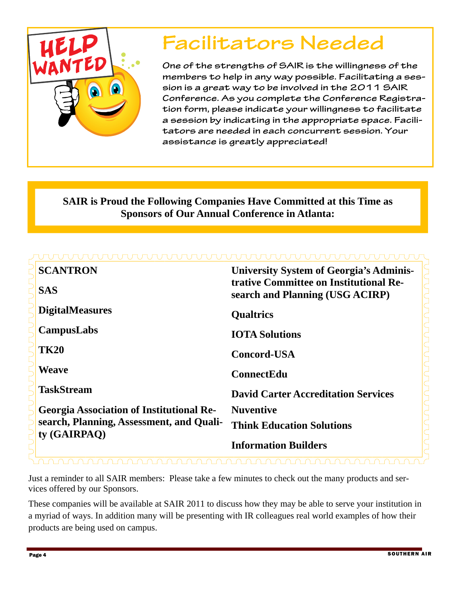

# **Facilitators Needed**

**One of the strengths of SAIR is the willingness of the members to help in any way possible. Facilitating a session is a great way to be involved in the 2011 SAIR Conference. As you complete the Conference Registration form, please indicate your willingness to facilitate a session by indicating in the appropriate space. Facilitators are needed in each concurrent session. Your assistance is greatly appreciated!** 

# **SAIR is Proud the Following Companies Have Committed at this Time as Sponsors of Our Annual Conference in Atlanta:**

| <b>SCANTRON</b>                                          | <b>University System of Georgia's Adminis-</b>                            |  |  |  |  |  |
|----------------------------------------------------------|---------------------------------------------------------------------------|--|--|--|--|--|
| <b>SAS</b>                                               | trative Committee on Institutional Re-<br>search and Planning (USG ACIRP) |  |  |  |  |  |
| <b>DigitalMeasures</b>                                   | <b>Qualtrics</b>                                                          |  |  |  |  |  |
| <b>CampusLabs</b>                                        | <b>IOTA Solutions</b>                                                     |  |  |  |  |  |
| <b>TK20</b>                                              | <b>Concord-USA</b>                                                        |  |  |  |  |  |
| <b>Weave</b>                                             | <b>ConnectEdu</b>                                                         |  |  |  |  |  |
| <b>TaskStream</b>                                        | <b>David Carter Accreditation Services</b>                                |  |  |  |  |  |
| <b>Georgia Association of Institutional Re-</b>          | <b>Nuventive</b>                                                          |  |  |  |  |  |
| search, Planning, Assessment, and Quali-<br>ty (GAIRPAO) | <b>Think Education Solutions</b>                                          |  |  |  |  |  |
|                                                          | <b>Information Builders</b>                                               |  |  |  |  |  |

Just a reminder to all SAIR members: Please take a few minutes to check out the many products and services offered by our Sponsors.

These companies will be available at SAIR 2011 to discuss how they may be able to serve your institution in a myriad of ways. In addition many will be presenting with IR colleagues real world examples of how their products are being used on campus.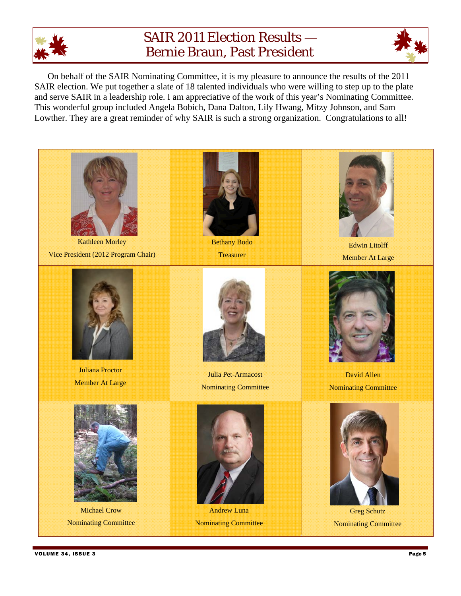

# SAIR 2011 Election Results — Bernie Braun, Past President



On behalf of the SAIR Nominating Committee, it is my pleasure to announce the results of the 2011 SAIR election. We put together a slate of 18 talented individuals who were willing to step up to the plate and serve SAIR in a leadership role. I am appreciative of the work of this year's Nominating Committee. This wonderful group included Angela Bobich, Dana Dalton, Lily Hwang, Mitzy Johnson, and Sam Lowther. They are a great reminder of why SAIR is such a strong organization. Congratulations to all!

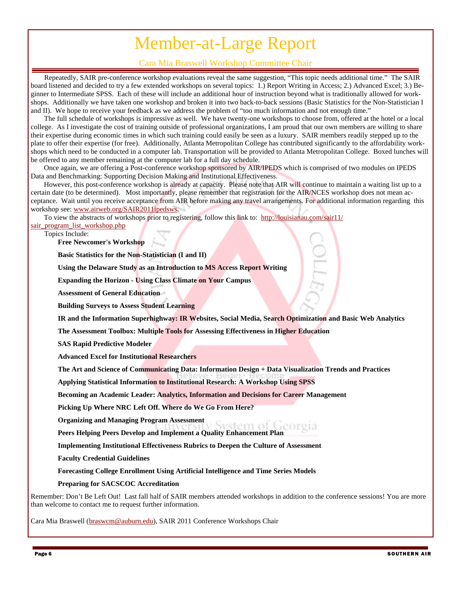# Member-at-Large Report

### Cara Mia Braswell Workshop Committee Chair

Repeatedly, SAIR pre-conference workshop evaluations reveal the same suggestion, "This topic needs additional time." The SAIR board listened and decided to try a few extended workshops on several topics: 1.) Report Writing in Access; 2.) Advanced Excel; 3.) Beginner to Intermediate SPSS. Each of these will include an additional hour of instruction beyond what is traditionally allowed for workshops. Additionally we have taken one workshop and broken it into two back-to-back sessions (Basic Statistics for the Non-Statistician I and II). We hope to receive your feedback as we address the problem of "too much information and not enough time."

The full schedule of workshops is impressive as well. We have twenty-one workshops to choose from, offered at the hotel or a local college. As I investigate the cost of training outside of professional organizations, I am proud that our own members are willing to share their expertise during economic times in which such training could easily be seen as a luxury. SAIR members readily stepped up to the plate to offer their expertise (for free). Additionally, Atlanta Metropolitan College has contributed significantly to the affordability workshops which need to be conducted in a computer lab. Transportation will be provided to Atlanta Metropolitan College. Boxed lunches will be offered to any member remaining at the computer lab for a full day schedule.

Once again, we are offering a Post-conference workshop sponsored by AIR/IPEDS which is comprised of two modules on IPEDS Data and Benchmarking: Supporting Decision Making and Institutional Effectiveness.

However, this post-conference workshop is already at capacity. Please note that AIR will continue to maintain a waiting list up to a certain date (to be determined). Most importantly, please remember that registration for the AIR/NCES workshop does not mean acceptance. Wait until you receive acceptance from AIR before making any travel arrangements. For additional information regarding this workshop see: www.airweb.org/SAIR2011ipedsws.

To view the abstracts of workshops prior to registering, follow this link to: http://louisianau.com/sair11/

#### sair\_program\_list\_workshop.php

Topics Include:

**Free Newcomer's Workshop** 

**Basic Statistics for the Non-Statistician (I and II)** 

**Using the Delaware Study as an Introduction to MS Access Report Writing** 

**Expanding the Horizon - Using Class Climate on Your Campus** 

**Assessment of General Education** 

**Building Surveys to Assess Student Learning** 

**IR and the Information Superhighway: IR Websites, Social Media, Search Optimization and Basic Web Analytics** 

**The Assessment Toolbox: Multiple Tools for Assessing Effectiveness in Higher Education** 

**SAS Rapid Predictive Modeler** 

**Advanced Excel for Institutional Researchers** 

**The Art and Science of Communicating Data: Information Design + Data Visualization Trends and Practices** 

**Applying Statistical Information to Institutional Research: A Workshop Using SPSS** 

**Becoming an Academic Leader: Analytics, Information and Decisions for Career Management** 

**Picking Up Where NRC Left Off. Where do We Go From Here?** 

**Organizing and Managing Program Assessment** 

**Peers Helping Peers Develop and Implement a Quality Enhancement Plan** 

**Implementing Institutional Effectiveness Rubrics to Deepen the Culture of Assessment** 

**Faculty Credential Guidelines** 

**Forecasting College Enrollment Using Artificial Intelligence and Time Series Models** 

**Preparing for SACSCOC Accreditation** 

Remember: Don't Be Left Out! Last fall half of SAIR members attended workshops in addition to the conference sessions! You are more than welcome to contact me to request further information.

Cara Mia Braswell (braswcm@auburn.edu), SAIR 2011 Conference Workshops Chair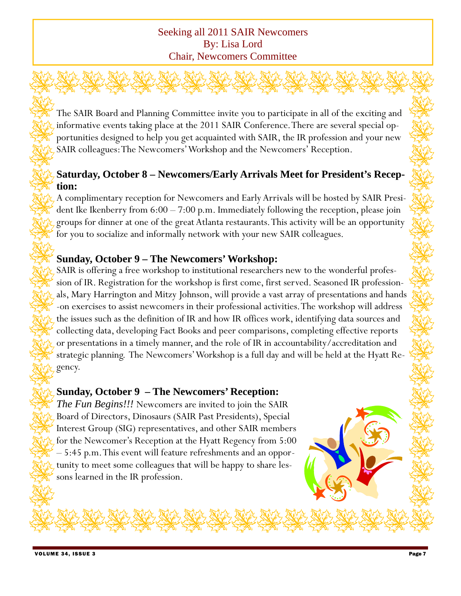### Seeking all 2011 SAIR Newcomers By: Lisa Lord Chair, Newcomers Committee

The SAIR Board and Planning Committee invite you to participate in all of the exciting and informative events taking place at the 2011 SAIR Conference. There are several special opportunities designed to help you get acquainted with SAIR, the IR profession and your new SAIR colleagues: The Newcomers' Workshop and the Newcomers' Reception.

## **Saturday, October 8 – Newcomers/Early Arrivals Meet for President's Reception:**

A complimentary reception for Newcomers and Early Arrivals will be hosted by SAIR President Ike Ikenberry from 6:00 – 7:00 p.m. Immediately following the reception, please join groups for dinner at one of the great Atlanta restaurants. This activity will be an opportunity for you to socialize and informally network with your new SAIR colleagues.

## **Sunday, October 9 – The Newcomers' Workshop:**

SAIR is offering a free workshop to institutional researchers new to the wonderful profession of IR. Registration for the workshop is first come, first served. Seasoned IR professionals, Mary Harrington and Mitzy Johnson, will provide a vast array of presentations and hands -on exercises to assist newcomers in their professional activities. The workshop will address the issues such as the definition of IR and how IR offices work, identifying data sources and collecting data, developing Fact Books and peer comparisons, completing effective reports or presentations in a timely manner, and the role of IR in accountability/accreditation and strategic planning. The Newcomers' Workshop is a full day and will be held at the Hyatt Regency.

### **Sunday, October 9 – The Newcomers' Reception:**

*The Fun Begins!!!* Newcomers are invited to join the SAIR Board of Directors, Dinosaurs (SAIR Past Presidents), Special Interest Group (SIG) representatives, and other SAIR members for the Newcomer's Reception at the Hyatt Regency from 5:00 – 5:45 p.m. This event will feature refreshments and an opportunity to meet some colleagues that will be happy to share lessons learned in the IR profession.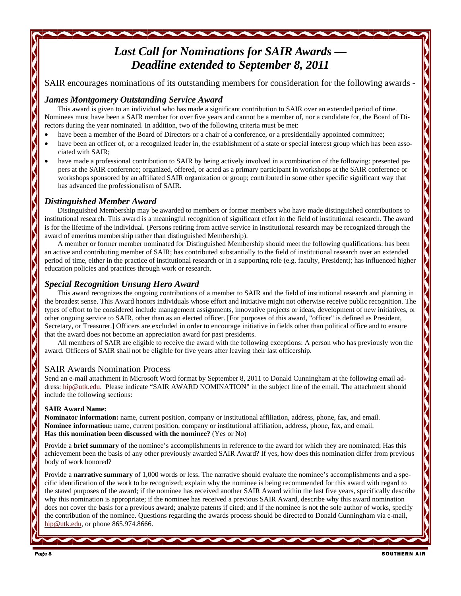# *Last Call for Nominations for SAIR Awards — Deadline extended to September 8, 2011*

SAIR encourages nominations of its outstanding members for consideration for the following awards *-* 

#### *James Montgomery Outstanding Service Award*

This award is given to an individual who has made a significant contribution to SAIR over an extended period of time. Nominees must have been a SAIR member for over five years and cannot be a member of, nor a candidate for, the Board of Directors during the year nominated. In addition, two of the following criteria must be met:

- have been a member of the Board of Directors or a chair of a conference, or a presidentially appointed committee;
- have been an officer of, or a recognized leader in, the establishment of a state or special interest group which has been associated with SAIR;
- have made a professional contribution to SAIR by being actively involved in a combination of the following: presented papers at the SAIR conference; organized, offered, or acted as a primary participant in workshops at the SAIR conference or workshops sponsored by an affiliated SAIR organization or group; contributed in some other specific significant way that has advanced the professionalism of SAIR.

### *Distinguished Member Award*

Distinguished Membership may be awarded to members or former members who have made distinguished contributions to institutional research. This award is a meaningful recognition of significant effort in the field of institutional research. The award is for the lifetime of the individual. (Persons retiring from active service in institutional research may be recognized through the award of emeritus membership rather than distinguished Membership).

A member or former member nominated for Distinguished Membership should meet the following qualifications: has been an active and contributing member of SAIR; has contributed substantially to the field of institutional research over an extended period of time, either in the practice of institutional research or in a supporting role (e.g. faculty, President); has influenced higher education policies and practices through work or research.

### *Special Recognition Unsung Hero Award*

This award recognizes the ongoing contributions of a member to SAIR and the field of institutional research and planning in the broadest sense. This Award honors individuals whose effort and initiative might not otherwise receive public recognition. The types of effort to be considered include management assignments, innovative projects or ideas, development of new initiatives, or other ongoing service to SAIR, other than as an elected officer. [For purposes of this award, "officer" is defined as President, Secretary, or Treasurer.] Officers are excluded in order to encourage initiative in fields other than political office and to ensure that the award does not become an appreciation award for past presidents.

All members of SAIR are eligible to receive the award with the following exceptions: A person who has previously won the award. Officers of SAIR shall not be eligible for five years after leaving their last officership.

### SAIR Awards Nomination Process

Send an e-mail attachment in Microsoft Word format by September 8, 2011 to Donald Cunningham at the following email address: hip@utk.edu. Please indicate "SAIR AWARD NOMINATION" in the subject line of the email. The attachment should include the following sections:

#### **SAIR Award Name:**

**Nominator information:** name, current position, company or institutional affiliation, address, phone, fax, and email. **Nominee information:** name, current position, company or institutional affiliation, address, phone, fax, and email. **Has this nomination been discussed with the nominee?** (Yes or No)

Provide a **brief summary** of the nominee's accomplishments in reference to the award for which they are nominated; Has this achievement been the basis of any other previously awarded SAIR Award? If yes, how does this nomination differ from previous body of work honored?

Provide a **narrative summary** of 1,000 words or less. The narrative should evaluate the nominee's accomplishments and a specific identification of the work to be recognized; explain why the nominee is being recommended for this award with regard to the stated purposes of the award; if the nominee has received another SAIR Award within the last five years, specifically describe why this nomination is appropriate; if the nominee has received a previous SAIR Award, describe why this award nomination does not cover the basis for a previous award; analyze patents if cited; and if the nominee is not the sole author of works, specify the contribution of the nominee. Questions regarding the awards process should be directed to Donald Cunningham via e-mail, hip@utk.edu, or phone 865.974.8666.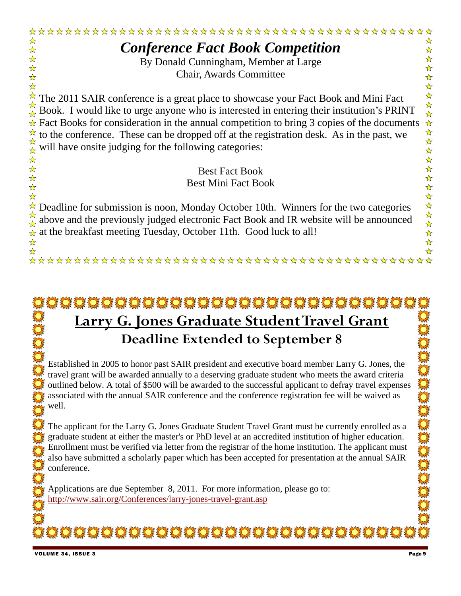

# \*\*\*\*\*\*\*\*\*\*\*\*\*\*\*\*\*\*\*\*\*\*\*\*\*\*\*\*\*\* **Larry G. Jones Graduate Student Travel Grant Deadline Extended to September 8**

Established in 2005 to honor past SAIR president and executive board member Larry G. Jones, the travel grant will be awarded annually to a deserving graduate student who meets the award criteria outlined below. A total of \$500 will be awarded to the successful applicant to defray travel expenses associated with the annual SAIR conference and the conference registration fee will be waived as well.

The applicant for the Larry G. Jones Graduate Student Travel Grant must be currently enrolled as a graduate student at either the master's or PhD level at an accredited institution of higher education. Enrollment must be verified via letter from the registrar of the home institution. The applicant must also have submitted a scholarly paper which has been accepted for presentation at the annual SAIR conference.

**IODOOOOOOOOOOOOOOOOOOOOOOOOOOO** 

Applications are due September 8, 2011. For more information, please go to: http://www.sair.org/Conferences/larry-jones-travel-grant.asp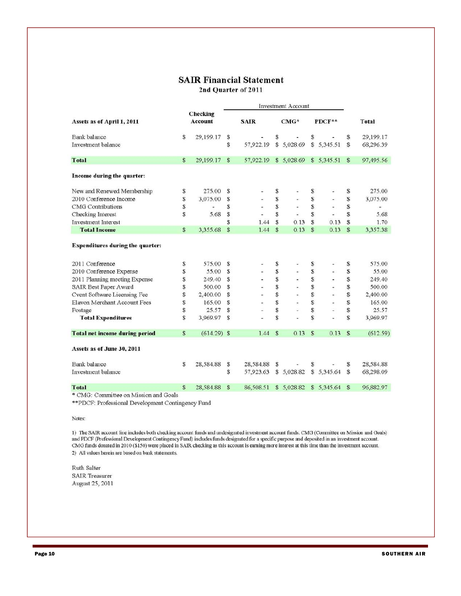#### **SAIR Financial Statement**

2nd Ouarter of 2011

|                                         |              |                          | <b>Investment Account</b> |             |    |                |              |                |               |              |
|-----------------------------------------|--------------|--------------------------|---------------------------|-------------|----|----------------|--------------|----------------|---------------|--------------|
| Assets as of April 1, 2011              |              | Checking<br>Account      |                           | <b>SAIR</b> |    | $CMG*$         |              | $PDCF**$       |               | <b>Total</b> |
| <b>Bank</b> balance                     | S            | 29,199.17                | S                         |             | S  |                | S            |                | S             | 29,199.17    |
| Investment balance                      |              |                          | S                         | 57,922.19   |    | \$5,028.69     |              | \$5,345.51     | S             | 68,296.39    |
| <b>Total</b>                            | S            | 29,199.17                | <sub>S</sub>              | 57,922.19   |    | \$5,028.69     |              | \$5,345.51     | $\mathbb{S}$  | 97,495.56    |
| Income during the quarter:              |              |                          |                           |             |    |                |              |                |               |              |
| New and Renewed Membership              | S            | 275.00                   | S                         |             | \$ |                | \$           |                | S             | 275.00       |
| 2010 Conference Income                  | S            | 3,075.00                 | S                         |             | S  | $\blacksquare$ | S            |                | S             | 3,075.00     |
| <b>CMG</b> Contributions                | S            | $\overline{\phantom{a}}$ | S                         |             | S  | ×              | \$           | $\tilde{}$     | S             |              |
| Checking Interest                       | S            | 5.68                     | S                         | ×           | S  | 岀              | S            | Ξ              | S             | 5.68         |
| <b>Investment Interest</b>              |              |                          | S                         | 1.44        | S  | 0.13           | S            | 0.13           | S             | 1.70         |
| <b>Total Income</b>                     | \$           | 3,355.68                 | S                         | 1.44        | S  | 0.13           | \$           | 0.13           | $\mathbf{s}$  | 3,357.38     |
| <b>Expenditures during the quarter:</b> |              |                          |                           |             |    |                |              |                |               |              |
| 2011 Conference                         | S            | 575.00                   | S                         |             | \$ |                | \$           |                | \$            | 575.00       |
| 2010 Conference Expense                 | S            | 55.00                    | \$                        |             | S  |                | \$           | $\sim$         | \$            | 55.00        |
| 2011 Planning meeting Expense           | S            | 249.40                   | \$                        |             | \$ |                | \$           | -              | \$            | 249.40       |
| SAIR Best Paper Award                   | \$           | 500.00                   | S                         |             | S  |                | \$           | ۷              | \$            | 500.00       |
| Cvent Software Licensing Fee            | S            | 2,400.00                 | S                         |             | S  | $\blacksquare$ | \$           | $\frac{1}{2}$  | \$            | 2,400.00     |
| Elavon Merchant Account Fees            | S            | 165.00                   | S                         |             | S  |                | \$           | $\overline{a}$ | \$            | 165.00       |
| Postage                                 | \$           | 25.57                    | S                         |             | S  |                | \$           |                | \$            | 25.57        |
| <b>Total Expenditures</b>               | \$           | 3,969.97                 | S                         |             | Ŝ  |                | S            |                | S             | 3,969.97     |
| <b>Total net income during period</b>   | S            | $(614.29)$ \$            |                           | 1.44        | S  | 0.13           | $\mathbf{s}$ | 0.13           | S             | (612.59)     |
| Assets as of June 30, 2011              |              |                          |                           |             |    |                |              |                |               |              |
| <b>Bank</b> balance                     | S            | 28,584.88                | s                         | 28,584.88   | s  |                | \$           |                | S             | 28,584.88    |
| Investment balance                      |              |                          | S                         | 57,923.63   |    | \$5,028.82     |              | \$5,345.64     | S             | 68,298.09    |
| <b>T</b> otal                           | $\mathbf{s}$ | 28,584.88                | S                         | 86,508.51   |    | \$5,028.82     |              | \$ 5,345.64    | $\mathcal{S}$ | 96,882.97    |
| * CMG: Committee on Mission and Goals   |              |                          |                           |             |    |                |              |                |               |              |

\*\* PDCF: Professional Development Contingency Fund

Notes:

1) The SAIR account line includes both checking account funds and undesignated investment account funds. CMG (Committee on Mission and Goals) and PDCF (Professional Development Contingency Fund) includes funds designated for a specific purpose and deposited in an investment account. CMG funds donated in 2010 (\$150) were placed in SAIR checking as this account is earning more interest at this time than the investment account. 2) All values herein are based on bank statements.

Ruth Salter **SAIR Treasurer** August 25, 2011